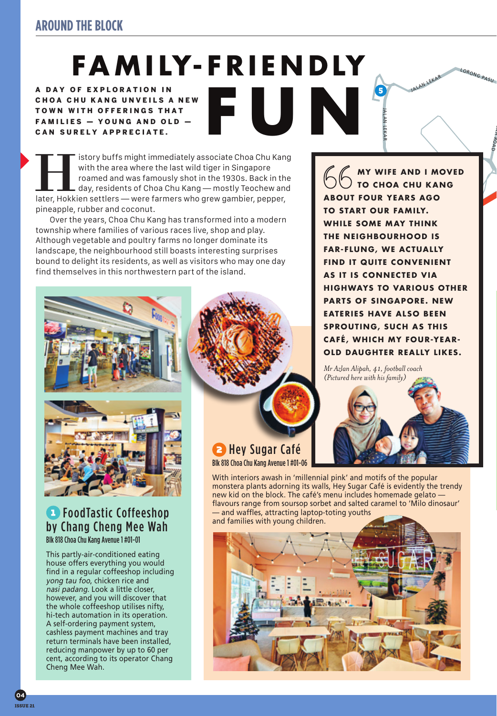# FAMILY-FRIENDLY

**FUN**

A DAY OF EXPLORATION IN CHOA CHU KANG UNVEILS A NEW TOWN WITH OFFERINGS THAT FAMILIES - YOUNG AND OLD -CAN SURELY APPRECIATE.

IF Itsory buffs might immediately associate Choa Chu Kang<br>
with the area where the last wild tiger in Singapore<br>
roamed and was famously shot in the 1930s. Back in the<br>
day, residents of Choa Chu Kang — mostly Teochew and<br> with the area where the last wild tiger in Singapore roamed and was famously shot in the 1930s. Back in the day, residents of Choa Chu Kang — mostly Teochew and pineapple, rubber and coconut.

Over the years, Choa Chu Kang has transformed into a modern township where families of various races live, shop and play. Although vegetable and poultry farms no longer dominate its landscape, the neighbourhood still boasts interesting surprises bound to delight its residents, as well as visitors who may one day find themselves in this northwestern part of the island.



### **FoodTastic Coffeeshop** by Chang Cheng Mee Wah Blk 818 Choa Chu Kang Avenue 1 #01-01

This partly-air-conditioned eating house offers everything you would find in a regular coffeeshop including yong tau foo, chicken rice and nasi padang. Look a little closer, however, and you will discover that the whole coffeeshop utilises nifty, hi-tech automation in its operation. A self-ordering payment system, cashless payment machines and tray return terminals have been installed, reducing manpower by up to 60 per cent, according to its operator Chang Cheng Mee Wah.

**B** Hey Sugar Café Blk 818 Choa Chu Kang Avenue 1 #01-06

With interiors awash in 'millennial pink' and motifs of the popular monstera plants adorning its walls, Hey Sugar Café is evidently the trendy new kid on the block. The café's menu includes homemade gelato flavours range from soursop sorbet and salted caramel to 'Milo dinosaur' — and waffles, attracting laptop-toting youths and families with young children.



**MY WIFE AND I MOVED TO CHOA CHU KANG ABOUT FOUR YEARS AGO TO START OUR FAMILY. WHILE SOME MAY THINK THE NEIGHBOURHOOD IS FAR-FLUNG, WE ACTUALLY FIND IT QUITE CONVENIENT AS IT IS CONNECTED VIA HIGHWAYS TO VARIOUS OTHER PARTS OF SINGAPORE. NEW EATERIES HAVE ALSO BEEN SPROUTING, SUCH AS THIS CAFÉ, WHICH MY FOUR-YEAR-OLD DAUGHTER REALLY LIKES.**

JALAN LEKAR

**5** 

AN LEKAR

 $\overline{O}$ V $O$ W $\overline{O}$ 

*Mr Azlan Alipah, 41, football coach (Pictured here with his family)*